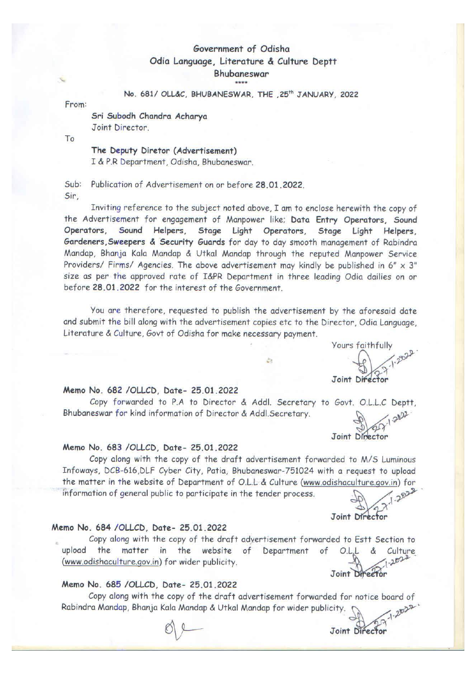# Government of Odisha Odia Language, Literature & Culture Deptt Bhubaneswar

#### No. 681/ OLL&C, BHUBANESWAR, THE , 25<sup>th</sup> JANUARY, 2022

From:

Sri Subodh Chandra Acharya Joint Director.

To

#### The Deputy Diretor (Advertisement)

I & P.R Department, Odisha, Bhubaneswar.

 $Sub:$ Publication of Advertisement on or before 28.01.2022. Sir.

Inviting reference to the subject noted above. I am to enclose herewith the copy of the Advertisement for engagement of Manpower like; Data Entry Operators, Sound Operators, Sound Helpers, Stage Light Operators, Stage Light Helpers, Gardeners, Sweepers & Security Guards for day to day smooth management of Rabindra Mandap, Bhanja Kala Mandap & Utkal Mandap through the reputed Manpower Service Providers/ Firms/ Agencies. The above advertisement may kindly be published in 6"  $\times$  3" size as per the approved rate of I&PR Department in three leading Odia dailies on or before 28.01.2022 for the interest of the Government.

You are therefore, requested to publish the advertisement by the aforesaid date and submit the bill along with the advertisement copies etc to the Director, Odia Language, Literature & Culture, Govt of Odisha for make necessary payment.

ò

Yours faithfully  $1.2022$ Joint Director

#### Memo No. 682 /OLLCD, Date- 25.01.2022

Copy forwarded to P.A to Director & Addl. Secretary to Govt. O.L.L.C Deptt, 2027-2022 Bhubaneswar for kind information of Director & Addl. Secretary.

# Joint Director

Joint Director

Joint Director

#### Memo No. 683 /OLLCD, Date- 25.01.2022

Copy along with the copy of the draft advertisement forwarded to M/S Luminous Infoways, DCB-616, DLF Cyber City, Patia, Bhubaneswar-751024 with a request to upload the matter in the website of Department of O.L.L & Culture (www.odishaculture.gov.in) for 2022 information of general public to participate in the tender process.

Joint Director

#### Memo No. 684 /OLLCD, Date- 25.01.2022

Copy along with the copy of the draft advertisement forwarded to Estt Section to upload the matter in the website of Department of  $OL.L.8$ Culture  $-2022$ (www.odishaculture.gov.in) for wider publicity.

#### Memo No. 685 /OLLCD, Date- 25.01.2022

Copy along with the copy of the draft advertisement forwarded for notice board of  $7 - 2022$ Rabindra Mandap, Bhanja Kala Mandap & Utkal Mandap for wider publicity.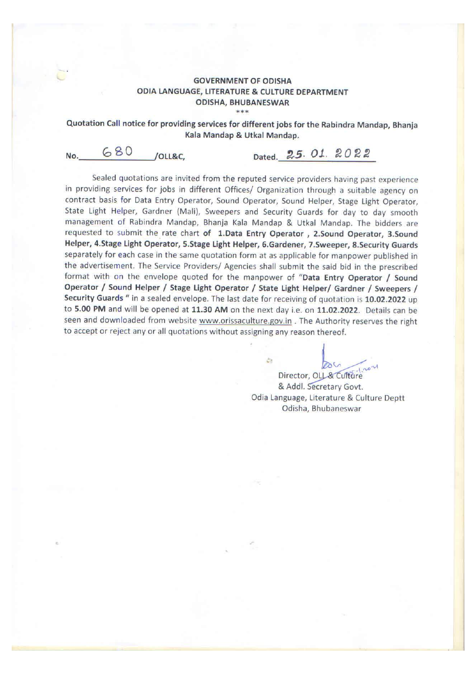#### **GOVERNMENT OF ODISHA** ODIA LANGUAGE, LITERATURE & CULTURE DEPARTMENT **ODISHA, BHUBANESWAR** \*\*\*

Quotation Call notice for providing services for different jobs for the Rabindra Mandap, Bhanja Kala Mandap & Utkal Mandap.

680 No. /OLL&C.

Dated. 25. 01. 2022

Sealed quotations are invited from the reputed service providers having past experience in providing services for jobs in different Offices/ Organization through a suitable agency on contract basis for Data Entry Operator, Sound Operator, Sound Helper, Stage Light Operator, State Light Helper, Gardner (Mali), Sweepers and Security Guards for day to day smooth management of Rabindra Mandap, Bhanja Kala Mandap & Utkal Mandap. The bidders are requested to submit the rate chart of 1.Data Entry Operator, 2.Sound Operator, 3.Sound Helper, 4.Stage Light Operator, 5.Stage Light Helper, 6.Gardener, 7.Sweeper, 8.Security Guards separately for each case in the same quotation form at as applicable for manpower published in the advertisement. The Service Providers/ Agencies shall submit the said bid in the prescribed format with on the envelope quoted for the manpower of "Data Entry Operator / Sound Operator / Sound Helper / Stage Light Operator / State Light Helper/ Gardner / Sweepers / Security Guards " in a sealed envelope. The last date for receiving of quotation is 10.02.2022 up to 5.00 PM and will be opened at 11.30 AM on the next day i.e. on 11.02.2022. Details can be seen and downloaded from website www.orissaculture.gov.in . The Authority reserves the right to accept or reject any or all quotations without assigning any reason thereof.

 $\mathcal{C}_{2}$ Director, OLL & Culture & Addl. Secretary Govt. Odia Language, Literature & Culture Deptt Odisha, Bhubaneswar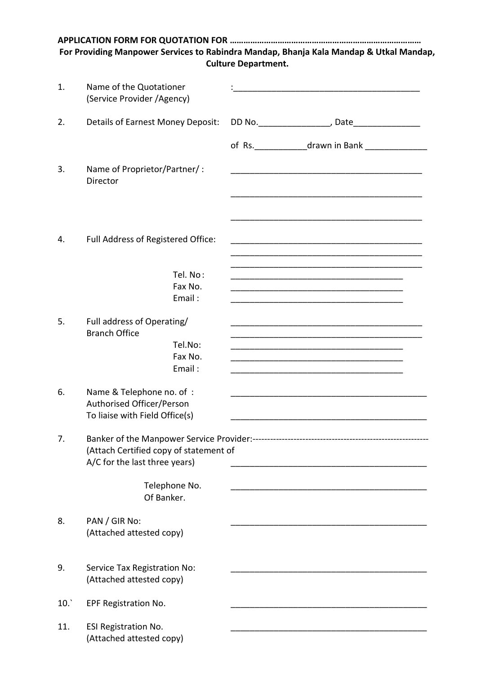|     | For Providing Manpower Services to Rabindra Mandap, Bhanja Kala Mandap & Utkal Mandap,   | <b>Culture Department.</b> |                                                                                                                       |  |
|-----|------------------------------------------------------------------------------------------|----------------------------|-----------------------------------------------------------------------------------------------------------------------|--|
| 1.  | Name of the Quotationer<br>(Service Provider / Agency)                                   |                            |                                                                                                                       |  |
| 2.  | Details of Earnest Money Deposit:                                                        |                            |                                                                                                                       |  |
|     |                                                                                          |                            | of Rs. ________________drawn in Bank _________________                                                                |  |
| 3.  | Name of Proprietor/Partner/:<br>Director                                                 |                            | <u> 1989 - Johann Harry Harry Harry Harry Harry Harry Harry Harry Harry Harry Harry Harry Harry Harry Harry Harry</u> |  |
| 4.  | Full Address of Registered Office:                                                       |                            |                                                                                                                       |  |
|     | Tel. No:<br>Fax No.<br>Email:                                                            |                            |                                                                                                                       |  |
| 5.  | Full address of Operating/<br><b>Branch Office</b><br>Tel.No:<br>Fax No.<br>Email:       |                            | <u> 1980 - Johann Barn, fransk politik (f. 1980)</u>                                                                  |  |
| 6.  | Name & Telephone no. of :<br>Authorised Officer/Person<br>To liaise with Field Office(s) |                            |                                                                                                                       |  |
| 7.  | (Attach Certified copy of statement of<br>A/C for the last three years)                  |                            | <u> 1989 - Johann John Stone, mars eta biztanleria (h. 1982).</u>                                                     |  |
|     | Telephone No.<br>Of Banker.                                                              |                            |                                                                                                                       |  |
| 8.  | PAN / GIR No:<br>(Attached attested copy)                                                |                            |                                                                                                                       |  |
| 9.  | Service Tax Registration No:<br>(Attached attested copy)                                 |                            |                                                                                                                       |  |
| 10. | EPF Registration No.                                                                     |                            |                                                                                                                       |  |
| 11. | <b>ESI Registration No.</b><br>(Attached attested copy)                                  |                            |                                                                                                                       |  |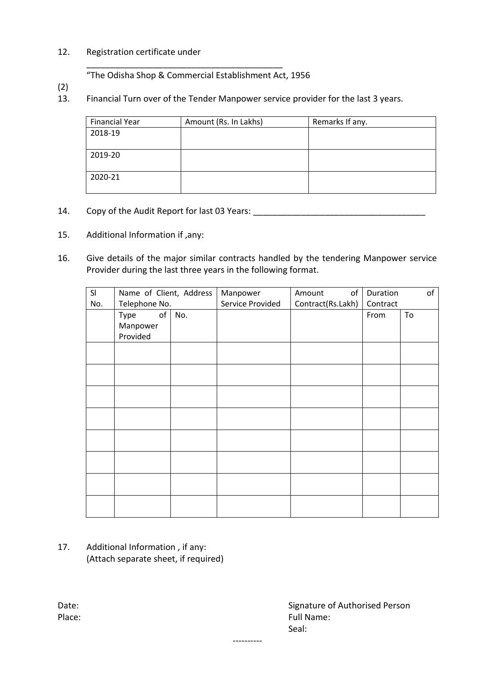#### 12. Registration certificate under

"The Odisha Shop & Commercial Establishment Act, 1956

\_\_\_\_\_\_\_\_\_\_\_\_\_\_\_\_\_\_\_\_\_\_\_\_\_\_\_\_\_\_\_\_\_\_\_\_\_\_\_\_\_

- (2)
- 13. Financial Turn over of the Tender Manpower service provider for the last 3 years.

| <b>Financial Year</b> | Amount (Rs. In Lakhs) | Remarks If any. |
|-----------------------|-----------------------|-----------------|
| 2018-19               |                       |                 |
|                       |                       |                 |
| 2019-20               |                       |                 |
|                       |                       |                 |
| 2020-21               |                       |                 |
|                       |                       |                 |

- 14. Copy of the Audit Report for last 03 Years: \_\_\_\_\_\_\_\_\_\_\_\_\_\_\_\_\_\_\_\_\_\_\_\_\_\_\_\_\_\_\_\_
- 15. Additional Information if ,any:
- 16. Give details of the major similar contracts handled by the tendering Manpower service Provider during the last three years in the following format.

| SI  | Name of Client, Address |     | Manpower         | of<br>Amount      | Duration | of |
|-----|-------------------------|-----|------------------|-------------------|----------|----|
| No. | Telephone No.           |     | Service Provided | Contract(Rs.Lakh) | Contract |    |
|     | of<br>Type              | No. |                  |                   | From     | To |
|     | Manpower                |     |                  |                   |          |    |
|     | Provided                |     |                  |                   |          |    |
|     |                         |     |                  |                   |          |    |
|     |                         |     |                  |                   |          |    |
|     |                         |     |                  |                   |          |    |
|     |                         |     |                  |                   |          |    |
|     |                         |     |                  |                   |          |    |
|     |                         |     |                  |                   |          |    |
|     |                         |     |                  |                   |          |    |
|     |                         |     |                  |                   |          |    |
|     |                         |     |                  |                   |          |    |
|     |                         |     |                  |                   |          |    |
|     |                         |     |                  |                   |          |    |
|     |                         |     |                  |                   |          |    |
|     |                         |     |                  |                   |          |    |
|     |                         |     |                  |                   |          |    |
|     |                         |     |                  |                   |          |    |
|     |                         |     |                  |                   |          |    |

----------

17. Additional Information , if any: (Attach separate sheet, if required)

Date: Case of Authorised Person Case of Authorised Person Place: Full Name: Full Name: Full Name: Full Name: Full Name: Full Name: Full Name: Full Name: Full Name: Full Name: Full Name: Full Name: Full Name: Full Name: Full Name: Full Name: Full Name: Full Name: Full Name: Full N Seal: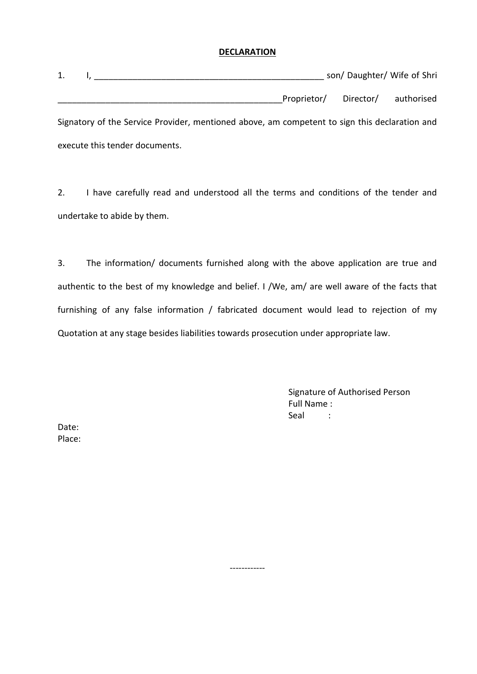#### **DECLARATION**

| 1. | $\mathbf{I}$ , $\mathbf{I}$                                                                   |                                  | son/Daughter/Wife of Shri |
|----|-----------------------------------------------------------------------------------------------|----------------------------------|---------------------------|
|    |                                                                                               | Proprietor/ Director/ authorised |                           |
|    | Signatory of the Service Provider, mentioned above, am competent to sign this declaration and |                                  |                           |
|    | execute this tender documents.                                                                |                                  |                           |

2. I have carefully read and understood all the terms and conditions of the tender and undertake to abide by them.

3. The information/ documents furnished along with the above application are true and authentic to the best of my knowledge and belief. I /We, am/ are well aware of the facts that furnishing of any false information / fabricated document would lead to rejection of my Quotation at any stage besides liabilities towards prosecution under appropriate law.

------------

Signature of Authorised Person Full Name : Seal :

Date: Place: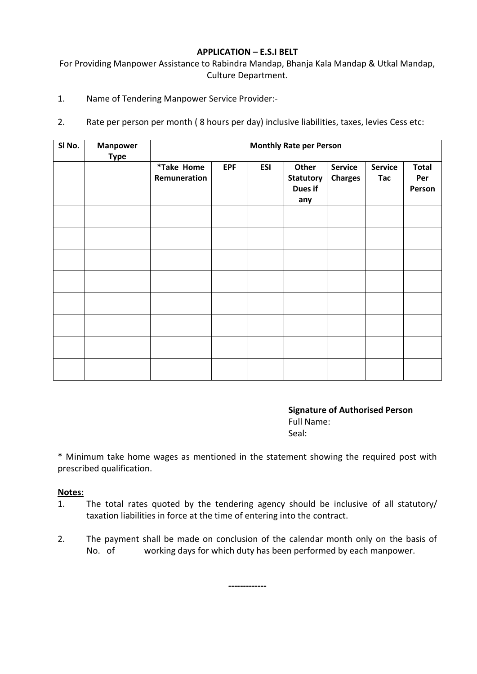#### **APPLICATION – E.S.I BELT**

For Providing Manpower Assistance to Rabindra Mandap, Bhanja Kala Mandap & Utkal Mandap, Culture Department.

- 1. Name of Tendering Manpower Service Provider:-
- 2. Rate per person per month ( 8 hours per day) inclusive liabilities, taxes, levies Cess etc:

| SI No. | <b>Manpower</b><br><b>Type</b> | <b>Monthly Rate per Person</b> |            |            |                                             |                                  |                              |                               |
|--------|--------------------------------|--------------------------------|------------|------------|---------------------------------------------|----------------------------------|------------------------------|-------------------------------|
|        |                                | *Take Home<br>Remuneration     | <b>EPF</b> | <b>ESI</b> | Other<br><b>Statutory</b><br>Dues if<br>any | <b>Service</b><br><b>Charges</b> | <b>Service</b><br><b>Tac</b> | <b>Total</b><br>Per<br>Person |
|        |                                |                                |            |            |                                             |                                  |                              |                               |
|        |                                |                                |            |            |                                             |                                  |                              |                               |
|        |                                |                                |            |            |                                             |                                  |                              |                               |
|        |                                |                                |            |            |                                             |                                  |                              |                               |
|        |                                |                                |            |            |                                             |                                  |                              |                               |
|        |                                |                                |            |            |                                             |                                  |                              |                               |
|        |                                |                                |            |            |                                             |                                  |                              |                               |
|        |                                |                                |            |            |                                             |                                  |                              |                               |

**Signature of Authorised Person** Full Name: Seal:

\* Minimum take home wages as mentioned in the statement showing the required post with prescribed qualification.

#### **Notes:**

- 1. The total rates quoted by the tendering agency should be inclusive of all statutory/ taxation liabilities in force at the time of entering into the contract.
- 2. The payment shall be made on conclusion of the calendar month only on the basis of No. of working days for which duty has been performed by each manpower.

**-------------**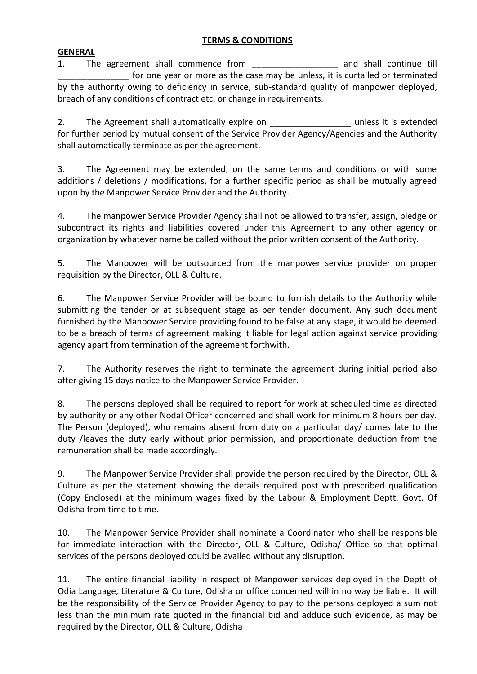#### **TERMS & CONDITIONS**

#### **GENERAL**

1. The agreement shall commence from The same and shall continue till for one year or more as the case may be unless, it is curtailed or terminated by the authority owing to deficiency in service, sub-standard quality of manpower deployed, breach of any conditions of contract etc. or change in requirements.

2. The Agreement shall automatically expire on \_\_\_\_\_\_\_\_\_\_\_\_\_\_\_\_\_\_\_\_ unless it is extended for further period by mutual consent of the Service Provider Agency/Agencies and the Authority shall automatically terminate as per the agreement.

3. The Agreement may be extended, on the same terms and conditions or with some additions / deletions / modifications, for a further specific period as shall be mutually agreed upon by the Manpower Service Provider and the Authority.

4. The manpower Service Provider Agency shall not be allowed to transfer, assign, pledge or subcontract its rights and liabilities covered under this Agreement to any other agency or organization by whatever name be called without the prior written consent of the Authority.

5. The Manpower will be outsourced from the manpower service provider on proper requisition by the Director, OLL & Culture.

6. The Manpower Service Provider will be bound to furnish details to the Authority while submitting the tender or at subsequent stage as per tender document. Any such document furnished by the Manpower Service providing found to be false at any stage, it would be deemed to be a breach of terms of agreement making it liable for legal action against service providing agency apart from termination of the agreement forthwith.

7. The Authority reserves the right to terminate the agreement during initial period also after giving 15 days notice to the Manpower Service Provider.

8. The persons deployed shall be required to report for work at scheduled time as directed by authority or any other Nodal Officer concerned and shall work for minimum 8 hours per day. The Person (deployed), who remains absent from duty on a particular day/ comes late to the duty /leaves the duty early without prior permission, and proportionate deduction from the remuneration shall be made accordingly.

9. The Manpower Service Provider shall provide the person required by the Director, OLL & Culture as per the statement showing the details required post with prescribed qualification (Copy Enclosed) at the minimum wages fixed by the Labour & Employment Deptt. Govt. Of Odisha from time to time.

10. The Manpower Service Provider shall nominate a Coordinator who shall be responsible for immediate interaction with the Director, OLL & Culture, Odisha/ Office so that optimal services of the persons deployed could be availed without any disruption.

11. The entire financial liability in respect of Manpower services deployed in the Deptt of Odia Language, Literature & Culture, Odisha or office concerned will in no way be liable. It will be the responsibility of the Service Provider Agency to pay to the persons deployed a sum not less than the minimum rate quoted in the financial bid and adduce such evidence, as may be required by the Director, OLL & Culture, Odisha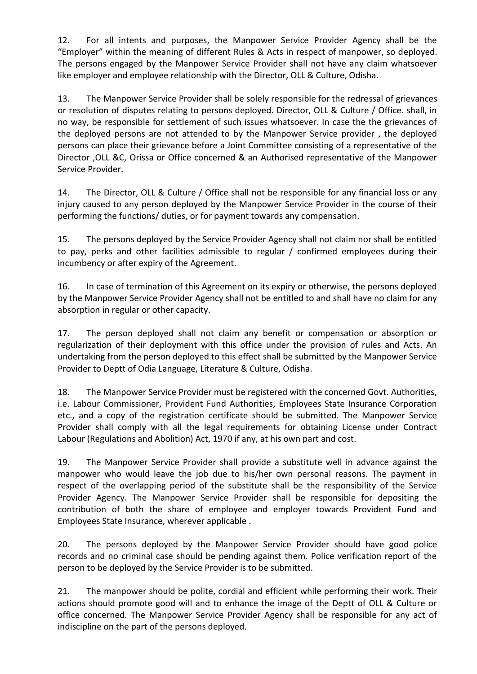12. For all intents and purposes, the Manpower Service Provider Agency shall be the "Employer" within the meaning of different Rules & Acts in respect of manpower, so deployed. The persons engaged by the Manpower Service Provider shall not have any claim whatsoever like employer and employee relationship with the Director, OLL & Culture, Odisha.

13. The Manpower Service Provider shall be solely responsible for the redressal of grievances or resolution of disputes relating to persons deployed. Director, OLL & Culture / Office. shall, in no way, be responsible for settlement of such issues whatsoever. In case the the grievances of the deployed persons are not attended to by the Manpower Service provider , the deployed persons can place their grievance before a Joint Committee consisting of a representative of the Director ,OLL &C, Orissa or Office concerned & an Authorised representative of the Manpower Service Provider.

14. The Director, OLL & Culture / Office shall not be responsible for any financial loss or any injury caused to any person deployed by the Manpower Service Provider in the course of their performing the functions/ duties, or for payment towards any compensation.

15. The persons deployed by the Service Provider Agency shall not claim nor shall be entitled to pay, perks and other facilities admissible to regular / confirmed employees during their incumbency or after expiry of the Agreement.

16. In case of termination of this Agreement on its expiry or otherwise, the persons deployed by the Manpower Service Provider Agency shall not be entitled to and shall have no claim for any absorption in regular or other capacity.

17. The person deployed shall not claim any benefit or compensation or absorption or regularization of their deployment with this office under the provision of rules and Acts. An undertaking from the person deployed to this effect shall be submitted by the Manpower Service Provider to Deptt of Odia Language, Literature & Culture, Odisha.

18. The Manpower Service Provider must be registered with the concerned Govt. Authorities, i.e. Labour Commissioner, Provident Fund Authorities, Employees State Insurance Corporation etc., and a copy of the registration certificate should be submitted. The Manpower Service Provider shall comply with all the legal requirements for obtaining License under Contract Labour (Regulations and Abolition) Act, 1970 if any, at his own part and cost.

19. The Manpower Service Provider shall provide a substitute well in advance against the manpower who would leave the job due to his/her own personal reasons. The payment in respect of the overlapping period of the substitute shall be the responsibility of the Service Provider Agency. The Manpower Service Provider shall be responsible for depositing the contribution of both the share of employee and employer towards Provident Fund and Employees State Insurance, wherever applicable .

20. The persons deployed by the Manpower Service Provider should have good police records and no criminal case should be pending against them. Police verification report of the person to be deployed by the Service Provider is to be submitted.

21. The manpower should be polite, cordial and efficient while performing their work. Their actions should promote good will and to enhance the image of the Deptt of OLL & Culture or office concerned. The Manpower Service Provider Agency shall be responsible for any act of indiscipline on the part of the persons deployed.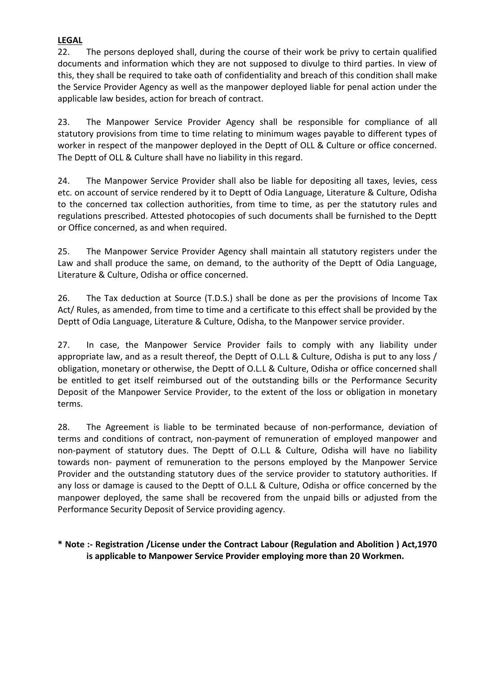## **LEGAL**

22. The persons deployed shall, during the course of their work be privy to certain qualified documents and information which they are not supposed to divulge to third parties. In view of this, they shall be required to take oath of confidentiality and breach of this condition shall make the Service Provider Agency as well as the manpower deployed liable for penal action under the applicable law besides, action for breach of contract.

23. The Manpower Service Provider Agency shall be responsible for compliance of all statutory provisions from time to time relating to minimum wages payable to different types of worker in respect of the manpower deployed in the Deptt of OLL & Culture or office concerned. The Deptt of OLL & Culture shall have no liability in this regard.

24. The Manpower Service Provider shall also be liable for depositing all taxes, levies, cess etc. on account of service rendered by it to Deptt of Odia Language, Literature & Culture, Odisha to the concerned tax collection authorities, from time to time, as per the statutory rules and regulations prescribed. Attested photocopies of such documents shall be furnished to the Deptt or Office concerned, as and when required.

25. The Manpower Service Provider Agency shall maintain all statutory registers under the Law and shall produce the same, on demand, to the authority of the Deptt of Odia Language, Literature & Culture, Odisha or office concerned.

26. The Tax deduction at Source (T.D.S.) shall be done as per the provisions of Income Tax Act/ Rules, as amended, from time to time and a certificate to this effect shall be provided by the Deptt of Odia Language, Literature & Culture, Odisha, to the Manpower service provider.

27. In case, the Manpower Service Provider fails to comply with any liability under appropriate law, and as a result thereof, the Deptt of O.L.L & Culture, Odisha is put to any loss / obligation, monetary or otherwise, the Deptt of O.L.L & Culture, Odisha or office concerned shall be entitled to get itself reimbursed out of the outstanding bills or the Performance Security Deposit of the Manpower Service Provider, to the extent of the loss or obligation in monetary terms.

28. The Agreement is liable to be terminated because of non-performance, deviation of terms and conditions of contract, non-payment of remuneration of employed manpower and non-payment of statutory dues. The Deptt of O.L.L & Culture, Odisha will have no liability towards non- payment of remuneration to the persons employed by the Manpower Service Provider and the outstanding statutory dues of the service provider to statutory authorities. If any loss or damage is caused to the Deptt of O.L.L & Culture, Odisha or office concerned by the manpower deployed, the same shall be recovered from the unpaid bills or adjusted from the Performance Security Deposit of Service providing agency.

## **\* Note :- Registration /License under the Contract Labour (Regulation and Abolition ) Act,1970 is applicable to Manpower Service Provider employing more than 20 Workmen.**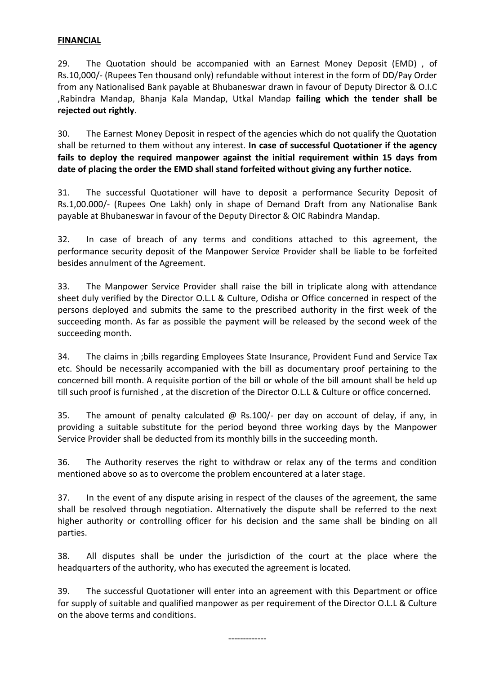#### **FINANCIAL**

29. The Quotation should be accompanied with an Earnest Money Deposit (EMD) , of Rs.10,000/- (Rupees Ten thousand only) refundable without interest in the form of DD/Pay Order from any Nationalised Bank payable at Bhubaneswar drawn in favour of Deputy Director & O.I.C ,Rabindra Mandap, Bhanja Kala Mandap, Utkal Mandap **failing which the tender shall be rejected out rightly**.

30. The Earnest Money Deposit in respect of the agencies which do not qualify the Quotation shall be returned to them without any interest. **In case of successful Quotationer if the agency fails to deploy the required manpower against the initial requirement within 15 days from date of placing the order the EMD shall stand forfeited without giving any further notice.**

31. The successful Quotationer will have to deposit a performance Security Deposit of Rs.1,00.000/- (Rupees One Lakh) only in shape of Demand Draft from any Nationalise Bank payable at Bhubaneswar in favour of the Deputy Director & OIC Rabindra Mandap.

32. In case of breach of any terms and conditions attached to this agreement, the performance security deposit of the Manpower Service Provider shall be liable to be forfeited besides annulment of the Agreement.

33. The Manpower Service Provider shall raise the bill in triplicate along with attendance sheet duly verified by the Director O.L.L & Culture, Odisha or Office concerned in respect of the persons deployed and submits the same to the prescribed authority in the first week of the succeeding month. As far as possible the payment will be released by the second week of the succeeding month.

34. The claims in ;bills regarding Employees State Insurance, Provident Fund and Service Tax etc. Should be necessarily accompanied with the bill as documentary proof pertaining to the concerned bill month. A requisite portion of the bill or whole of the bill amount shall be held up till such proof is furnished , at the discretion of the Director O.L.L & Culture or office concerned.

35. The amount of penalty calculated @ Rs.100/- per day on account of delay, if any, in providing a suitable substitute for the period beyond three working days by the Manpower Service Provider shall be deducted from its monthly bills in the succeeding month.

36. The Authority reserves the right to withdraw or relax any of the terms and condition mentioned above so as to overcome the problem encountered at a later stage.

37. In the event of any dispute arising in respect of the clauses of the agreement, the same shall be resolved through negotiation. Alternatively the dispute shall be referred to the next higher authority or controlling officer for his decision and the same shall be binding on all parties.

38. All disputes shall be under the jurisdiction of the court at the place where the headquarters of the authority, who has executed the agreement is located.

39. The successful Quotationer will enter into an agreement with this Department or office for supply of suitable and qualified manpower as per requirement of the Director O.L.L & Culture on the above terms and conditions.

-------------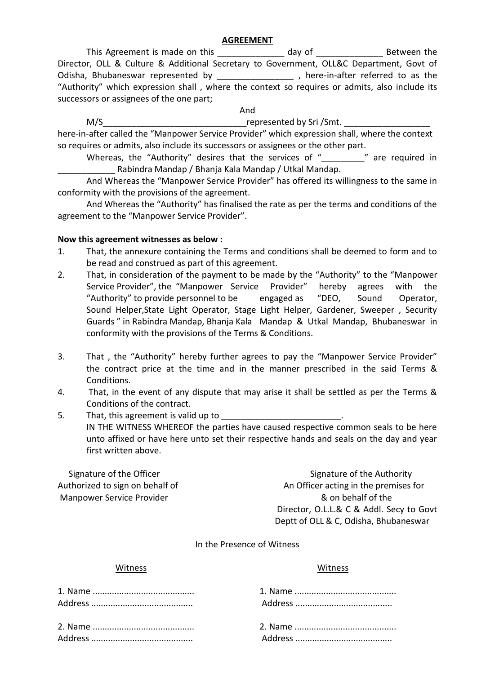#### **AGREEMENT**

This Agreement is made on this \_\_\_\_\_\_\_\_\_\_\_\_\_\_\_ day of \_\_\_\_\_\_\_\_\_\_\_\_\_\_\_\_\_ Between the Director, OLL & Culture & Additional Secretary to Government, OLL&C Department, Govt of Odisha, Bhubaneswar represented by \_\_\_\_\_\_\_\_\_\_\_\_\_\_\_\_\_, here-in-after referred to as the "Authority" which expression shall , where the context so requires or admits, also include its successors or assignees of the one part;

And

#### M/S THE MOST CONSERVED METALLIC CONSERVED METALLIC CONSERVED METALLIC CONSERVED METALLIC CONSERVED METALLIC CO

here-in-after called the "Manpower Service Provider" which expression shall, where the context so requires or admits, also include its successors or assignees or the other part.

Whereas, the "Authority" desires that the services of " \_\_\_\_\_\_\_\_" are required in Rabindra Mandap / Bhanja Kala Mandap / Utkal Mandap.

And Whereas the "Manpower Service Provider" has offered its willingness to the same in conformity with the provisions of the agreement.

And Whereas the "Authority" has finalised the rate as per the terms and conditions of the agreement to the "Manpower Service Provider".

#### **Now this agreement witnesses as below :**

- 1. That, the annexure containing the Terms and conditions shall be deemed to form and to be read and construed as part of this agreement.
- 2. That, in consideration of the payment to be made by the "Authority" to the "Manpower Service Provider", the "Manpower Service Provider" hereby agrees with the "Authority" to provide personnel to be engaged as "DEO, Sound Operator, Sound Helper,State Light Operator, Stage Light Helper, Gardener, Sweeper , Security Guards " in Rabindra Mandap, Bhanja Kala Mandap & Utkal Mandap, Bhubaneswar in conformity with the provisions of the Terms & Conditions.
- 3. That , the "Authority" hereby further agrees to pay the "Manpower Service Provider" the contract price at the time and in the manner prescribed in the said Terms & Conditions.
- 4. That, in the event of any dispute that may arise it shall be settled as per the Terms & Conditions of the contract.
- 5. That, this agreement is valid up to IN THE WITNESS WHEREOF the parties have caused respective common seals to be here unto affixed or have here unto set their respective hands and seals on the day and year first written above.

Manpower Service Provider & on behalf of the

Signature of the Officer Signature of the Authority Authorized to sign on behalf of An Officer acting in the premises for Director, O.L.L.& C & Addl. Secy to Govt Deptt of OLL & C, Odisha, Bhubaneswar

#### In the Presence of Witness

#### Witness Witness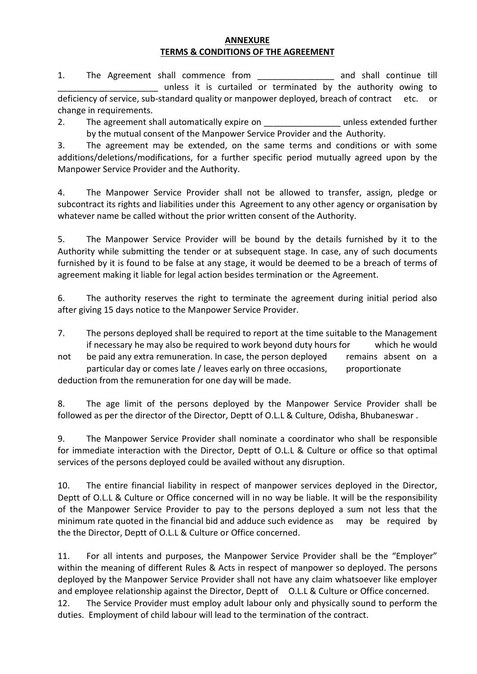#### **ANNEXURE TERMS & CONDITIONS OF THE AGREEMENT**

1. The Agreement shall commence from The and shall continue till \_\_\_\_\_\_\_\_\_\_\_\_\_\_\_\_\_\_\_\_\_ unless it is curtailed or terminated by the authority owing to deficiency of service, sub-standard quality or manpower deployed, breach of contract etc. or change in requirements.

2. The agreement shall automatically expire on The summer sextended further by the mutual consent of the Manpower Service Provider and the Authority.

3. The agreement may be extended, on the same terms and conditions or with some additions/deletions/modifications, for a further specific period mutually agreed upon by the Manpower Service Provider and the Authority.

4. The Manpower Service Provider shall not be allowed to transfer, assign, pledge or subcontract its rights and liabilities under this Agreement to any other agency or organisation by whatever name be called without the prior written consent of the Authority.

5. The Manpower Service Provider will be bound by the details furnished by it to the Authority while submitting the tender or at subsequent stage. In case, any of such documents furnished by it is found to be false at any stage, it would be deemed to be a breach of terms of agreement making it liable for legal action besides termination or the Agreement.

6. The authority reserves the right to terminate the agreement during initial period also after giving 15 days notice to the Manpower Service Provider.

7. The persons deployed shall be required to report at the time suitable to the Management if necessary he may also be required to work beyond duty hours for which he would

not be paid any extra remuneration. In case, the person deployed remains absent on a particular day or comes late / leaves early on three occasions, proportionate

deduction from the remuneration for one day will be made.

8. The age limit of the persons deployed by the Manpower Service Provider shall be followed as per the director of the Director, Deptt of O.L.L & Culture, Odisha, Bhubaneswar .

9. The Manpower Service Provider shall nominate a coordinator who shall be responsible for immediate interaction with the Director, Deptt of O.L.L & Culture or office so that optimal services of the persons deployed could be availed without any disruption.

10. The entire financial liability in respect of manpower services deployed in the Director, Deptt of O.L.L & Culture or Office concerned will in no way be liable. It will be the responsibility of the Manpower Service Provider to pay to the persons deployed a sum not less that the minimum rate quoted in the financial bid and adduce such evidence as may be required by the the Director, Deptt of O.L.L & Culture or Office concerned.

11. For all intents and purposes, the Manpower Service Provider shall be the "Employer" within the meaning of different Rules & Acts in respect of manpower so deployed. The persons deployed by the Manpower Service Provider shall not have any claim whatsoever like employer and employee relationship against the Director, Deptt of O.L.L & Culture or Office concerned.

12. The Service Provider must employ adult labour only and physically sound to perform the duties. Employment of child labour will lead to the termination of the contract.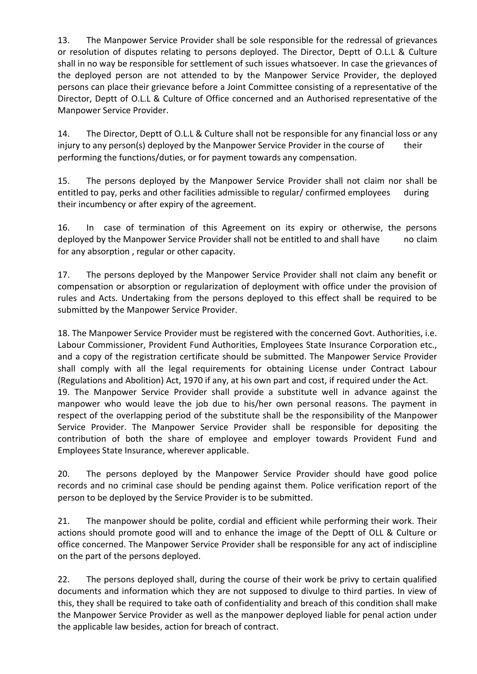13. The Manpower Service Provider shall be sole responsible for the redressal of grievances or resolution of disputes relating to persons deployed. The Director, Deptt of O.L.L & Culture shall in no way be responsible for settlement of such issues whatsoever. In case the grievances of the deployed person are not attended to by the Manpower Service Provider, the deployed persons can place their grievance before a Joint Committee consisting of a representative of the Director, Deptt of O.L.L & Culture of Office concerned and an Authorised representative of the Manpower Service Provider.

14. The Director, Deptt of O.L.L & Culture shall not be responsible for any financial loss or any injury to any person(s) deployed by the Manpower Service Provider in the course of their performing the functions/duties, or for payment towards any compensation.

15. The persons deployed by the Manpower Service Provider shall not claim nor shall be entitled to pay, perks and other facilities admissible to regular/ confirmed employees during their incumbency or after expiry of the agreement.

16. In case of termination of this Agreement on its expiry or otherwise, the persons deployed by the Manpower Service Provider shall not be entitled to and shall have no claim for any absorption , regular or other capacity.

17. The persons deployed by the Manpower Service Provider shall not claim any benefit or compensation or absorption or regularization of deployment with office under the provision of rules and Acts. Undertaking from the persons deployed to this effect shall be required to be submitted by the Manpower Service Provider.

18. The Manpower Service Provider must be registered with the concerned Govt. Authorities, i.e. Labour Commissioner, Provident Fund Authorities, Employees State Insurance Corporation etc., and a copy of the registration certificate should be submitted. The Manpower Service Provider shall comply with all the legal requirements for obtaining License under Contract Labour (Regulations and Abolition) Act, 1970 if any, at his own part and cost, if required under the Act. 19. The Manpower Service Provider shall provide a substitute well in advance against the manpower who would leave the job due to his/her own personal reasons. The payment in respect of the overlapping period of the substitute shall be the responsibility of the Manpower Service Provider. The Manpower Service Provider shall be responsible for depositing the contribution of both the share of employee and employer towards Provident Fund and Employees State Insurance, wherever applicable.

20. The persons deployed by the Manpower Service Provider should have good police records and no criminal case should be pending against them. Police verification report of the person to be deployed by the Service Provider is to be submitted.

21. The manpower should be polite, cordial and efficient while performing their work. Their actions should promote good will and to enhance the image of the Deptt of OLL & Culture or office concerned. The Manpower Service Provider shall be responsible for any act of indiscipline on the part of the persons deployed.

22. The persons deployed shall, during the course of their work be privy to certain qualified documents and information which they are not supposed to divulge to third parties. In view of this, they shall be required to take oath of confidentiality and breach of this condition shall make the Manpower Service Provider as well as the manpower deployed liable for penal action under the applicable law besides, action for breach of contract.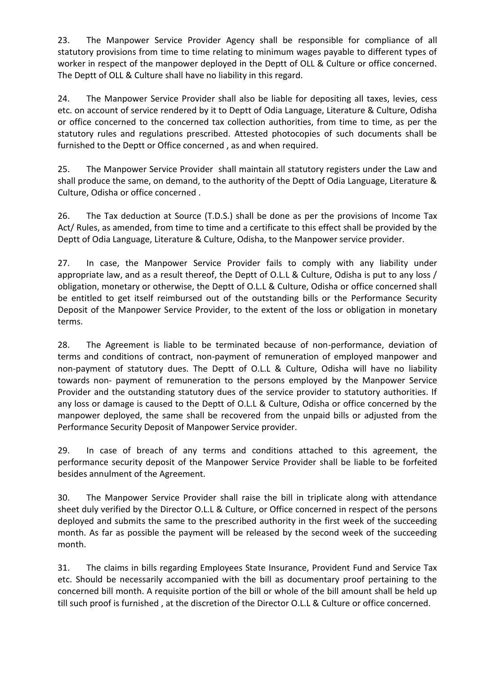23. The Manpower Service Provider Agency shall be responsible for compliance of all statutory provisions from time to time relating to minimum wages payable to different types of worker in respect of the manpower deployed in the Deptt of OLL & Culture or office concerned. The Deptt of OLL & Culture shall have no liability in this regard.

24. The Manpower Service Provider shall also be liable for depositing all taxes, levies, cess etc. on account of service rendered by it to Deptt of Odia Language, Literature & Culture, Odisha or office concerned to the concerned tax collection authorities, from time to time, as per the statutory rules and regulations prescribed. Attested photocopies of such documents shall be furnished to the Deptt or Office concerned , as and when required.

25. The Manpower Service Provider shall maintain all statutory registers under the Law and shall produce the same, on demand, to the authority of the Deptt of Odia Language, Literature & Culture, Odisha or office concerned .

26. The Tax deduction at Source (T.D.S.) shall be done as per the provisions of Income Tax Act/ Rules, as amended, from time to time and a certificate to this effect shall be provided by the Deptt of Odia Language, Literature & Culture, Odisha, to the Manpower service provider.

27. In case, the Manpower Service Provider fails to comply with any liability under appropriate law, and as a result thereof, the Deptt of O.L.L & Culture, Odisha is put to any loss / obligation, monetary or otherwise, the Deptt of O.L.L & Culture, Odisha or office concerned shall be entitled to get itself reimbursed out of the outstanding bills or the Performance Security Deposit of the Manpower Service Provider, to the extent of the loss or obligation in monetary terms.

28. The Agreement is liable to be terminated because of non-performance, deviation of terms and conditions of contract, non-payment of remuneration of employed manpower and non-payment of statutory dues. The Deptt of O.L.L & Culture, Odisha will have no liability towards non- payment of remuneration to the persons employed by the Manpower Service Provider and the outstanding statutory dues of the service provider to statutory authorities. If any loss or damage is caused to the Deptt of O.L.L & Culture, Odisha or office concerned by the manpower deployed, the same shall be recovered from the unpaid bills or adjusted from the Performance Security Deposit of Manpower Service provider.

29. In case of breach of any terms and conditions attached to this agreement, the performance security deposit of the Manpower Service Provider shall be liable to be forfeited besides annulment of the Agreement.

30. The Manpower Service Provider shall raise the bill in triplicate along with attendance sheet duly verified by the Director O.L.L & Culture, or Office concerned in respect of the persons deployed and submits the same to the prescribed authority in the first week of the succeeding month. As far as possible the payment will be released by the second week of the succeeding month.

31. The claims in bills regarding Employees State Insurance, Provident Fund and Service Tax etc. Should be necessarily accompanied with the bill as documentary proof pertaining to the concerned bill month. A requisite portion of the bill or whole of the bill amount shall be held up till such proof is furnished , at the discretion of the Director O.L.L & Culture or office concerned.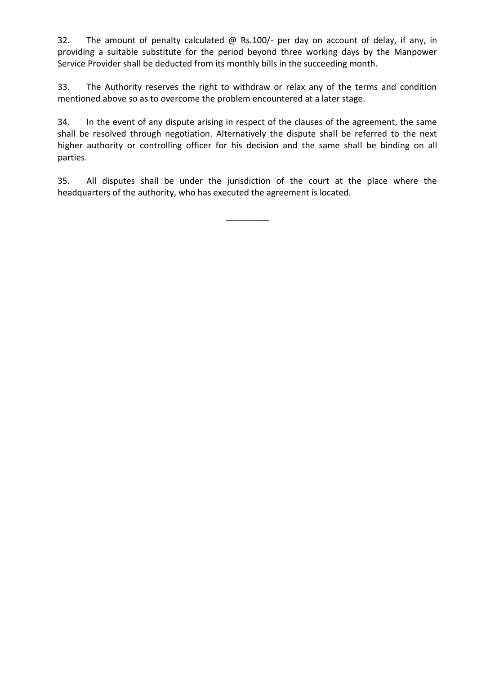32. The amount of penalty calculated @ Rs.100/- per day on account of delay, if any, in providing a suitable substitute for the period beyond three working days by the Manpower Service Provider shall be deducted from its monthly bills in the succeeding month.

33. The Authority reserves the right to withdraw or relax any of the terms and condition mentioned above so as to overcome the problem encountered at a later stage.

34. In the event of any dispute arising in respect of the clauses of the agreement, the same shall be resolved through negotiation. Alternatively the dispute shall be referred to the next higher authority or controlling officer for his decision and the same shall be binding on all parties.

35. All disputes shall be under the jurisdiction of the court at the place where the headquarters of the authority, who has executed the agreement is located.

\_\_\_\_\_\_\_\_\_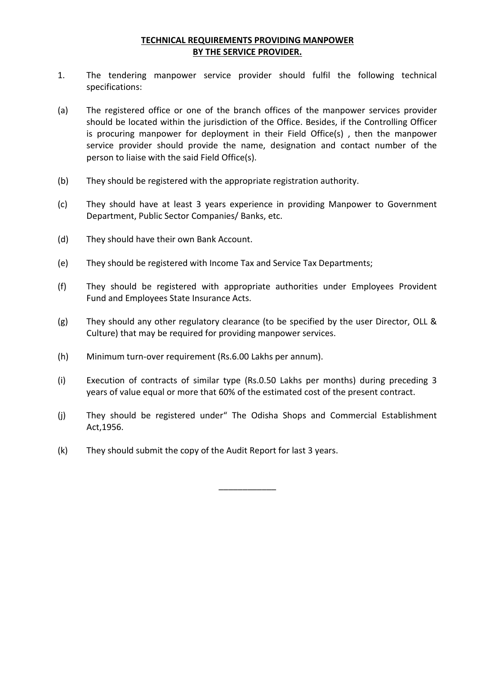### **TECHNICAL REQUIREMENTS PROVIDING MANPOWER BY THE SERVICE PROVIDER.**

- 1. The tendering manpower service provider should fulfil the following technical specifications:
- (a) The registered office or one of the branch offices of the manpower services provider should be located within the jurisdiction of the Office. Besides, if the Controlling Officer is procuring manpower for deployment in their Field Office(s) , then the manpower service provider should provide the name, designation and contact number of the person to liaise with the said Field Office(s).
- (b) They should be registered with the appropriate registration authority.
- (c) They should have at least 3 years experience in providing Manpower to Government Department, Public Sector Companies/ Banks, etc.
- (d) They should have their own Bank Account.
- (e) They should be registered with Income Tax and Service Tax Departments;
- (f) They should be registered with appropriate authorities under Employees Provident Fund and Employees State Insurance Acts.
- (g) They should any other regulatory clearance (to be specified by the user Director, OLL & Culture) that may be required for providing manpower services.
- (h) Minimum turn-over requirement (Rs.6.00 Lakhs per annum).
- (i) Execution of contracts of similar type (Rs.0.50 Lakhs per months) during preceding 3 years of value equal or more that 60% of the estimated cost of the present contract.
- (j) They should be registered under" The Odisha Shops and Commercial Establishment Act,1956.

\_\_\_\_\_\_\_\_\_\_\_\_

(k) They should submit the copy of the Audit Report for last 3 years.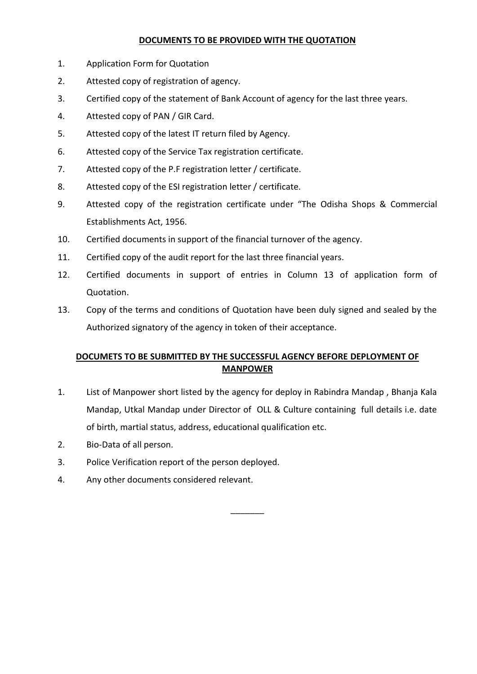#### **DOCUMENTS TO BE PROVIDED WITH THE QUOTATION**

- 1. Application Form for Quotation
- 2. Attested copy of registration of agency.
- 3. Certified copy of the statement of Bank Account of agency for the last three years.
- 4. Attested copy of PAN / GIR Card.
- 5. Attested copy of the latest IT return filed by Agency.
- 6. Attested copy of the Service Tax registration certificate.
- 7. Attested copy of the P.F registration letter / certificate.
- 8. Attested copy of the ESI registration letter / certificate.
- 9. Attested copy of the registration certificate under "The Odisha Shops & Commercial Establishments Act, 1956.
- 10. Certified documents in support of the financial turnover of the agency.
- 11. Certified copy of the audit report for the last three financial years.
- 12. Certified documents in support of entries in Column 13 of application form of Quotation.
- 13. Copy of the terms and conditions of Quotation have been duly signed and sealed by the Authorized signatory of the agency in token of their acceptance.

# **DOCUMETS TO BE SUBMITTED BY THE SUCCESSFUL AGENCY BEFORE DEPLOYMENT OF MANPOWER**

1. List of Manpower short listed by the agency for deploy in Rabindra Mandap , Bhanja Kala Mandap, Utkal Mandap under Director of OLL & Culture containing full details i.e. date of birth, martial status, address, educational qualification etc.

 $\overline{\phantom{a}}$ 

- 2. Bio-Data of all person.
- 3. Police Verification report of the person deployed.
- 4. Any other documents considered relevant.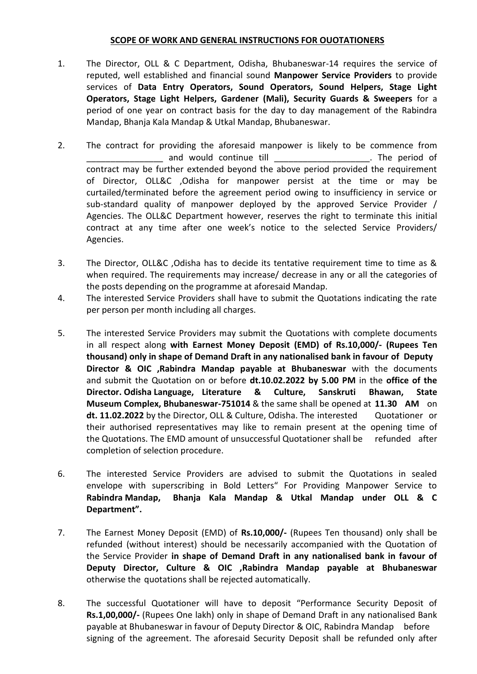#### **SCOPE OF WORK AND GENERAL INSTRUCTIONS FOR OUOTATIONERS**

- 1. The Director, OLL & C Department, Odisha, Bhubaneswar-14 requires the service of reputed, well established and financial sound **Manpower Service Providers** to provide services of **Data Entry Operators, Sound Operators, Sound Helpers, Stage Light Operators, Stage Light Helpers, Gardener (Mali), Security Guards & Sweepers** for a period of one year on contract basis for the day to day management of the Rabindra Mandap, Bhanja Kala Mandap & Utkal Mandap, Bhubaneswar.
- 2. The contract for providing the aforesaid manpower is likely to be commence from and would continue till example the series of the period of contract may be further extended beyond the above period provided the requirement of Director, OLL&C ,Odisha for manpower persist at the time or may be curtailed/terminated before the agreement period owing to insufficiency in service or sub-standard quality of manpower deployed by the approved Service Provider / Agencies. The OLL&C Department however, reserves the right to terminate this initial contract at any time after one week's notice to the selected Service Providers/ Agencies.
- 3. The Director, OLL&C ,Odisha has to decide its tentative requirement time to time as & when required. The requirements may increase/ decrease in any or all the categories of the posts depending on the programme at aforesaid Mandap.
- 4. The interested Service Providers shall have to submit the Quotations indicating the rate per person per month including all charges.
- 5. The interested Service Providers may submit the Quotations with complete documents in all respect along **with Earnest Money Deposit (EMD) of Rs.10,000/- (Rupees Ten thousand) only in shape of Demand Draft in any nationalised bank in favour of Deputy Director & OIC ,Rabindra Mandap payable at Bhubaneswar** with the documents and submit the Quotation on or before **dt.10.02.2022 by 5.00 PM** in the **office of the Director. Odisha Language, Literature & Culture, Sanskruti Bhawan, State Museum Complex, Bhubaneswar-751014** & the same shall be opened at **11.30 AM** on **dt. 11.02.2022** by the Director, OLL & Culture, Odisha. The interested Quotationer or their authorised representatives may like to remain present at the opening time of the Quotations. The EMD amount of unsuccessful Quotationer shall be refunded after completion of selection procedure.
- 6. The interested Service Providers are advised to submit the Quotations in sealed envelope with superscribing in Bold Letters" For Providing Manpower Service to **Rabindra Mandap, Bhanja Kala Mandap & Utkal Mandap under OLL & C Department".**
- 7. The Earnest Money Deposit (EMD) of **Rs.10,000/-** (Rupees Ten thousand) only shall be refunded (without interest) should be necessarily accompanied with the Quotation of the Service Provider **in shape of Demand Draft in any nationalised bank in favour of Deputy Director, Culture & OIC ,Rabindra Mandap payable at Bhubaneswar** otherwise the quotations shall be rejected automatically.
- 8. The successful Quotationer will have to deposit "Performance Security Deposit of **Rs.1,00,000/-** (Rupees One lakh) only in shape of Demand Draft in any nationalised Bank payable at Bhubaneswar in favour of Deputy Director & OIC, Rabindra Mandap before signing of the agreement. The aforesaid Security Deposit shall be refunded only after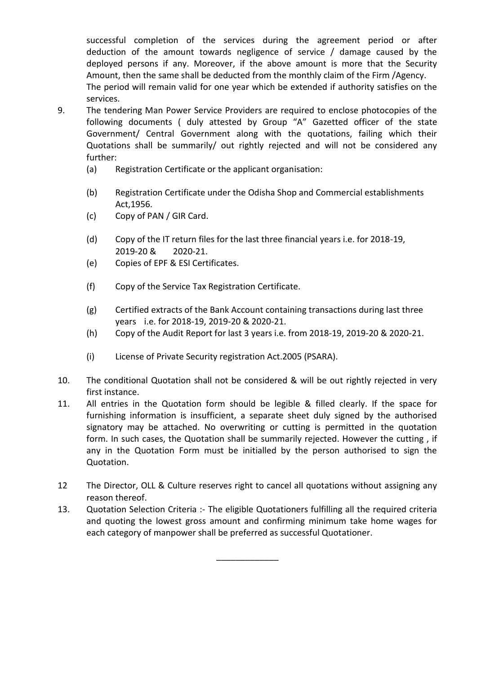successful completion of the services during the agreement period or after deduction of the amount towards negligence of service / damage caused by the deployed persons if any. Moreover, if the above amount is more that the Security Amount, then the same shall be deducted from the monthly claim of the Firm /Agency. The period will remain valid for one year which be extended if authority satisfies on the services.

- 9. The tendering Man Power Service Providers are required to enclose photocopies of the following documents ( duly attested by Group "A" Gazetted officer of the state Government/ Central Government along with the quotations, failing which their Quotations shall be summarily/ out rightly rejected and will not be considered any further:
	- (a) Registration Certificate or the applicant organisation:
	- (b) Registration Certificate under the Odisha Shop and Commercial establishments Act,1956.
	- (c) Copy of PAN / GIR Card.
	- (d) Copy of the IT return files for the last three financial years i.e. for 2018-19, 2019-20 & 2020-21.
	- (e) Copies of EPF & ESI Certificates.
	- (f) Copy of the Service Tax Registration Certificate.
	- (g) Certified extracts of the Bank Account containing transactions during last three years i.e. for 2018-19, 2019-20 & 2020-21.
	- (h) Copy of the Audit Report for last 3 years i.e. from 2018-19, 2019-20 & 2020-21.
	- (i) License of Private Security registration Act.2005 (PSARA).
- 10. The conditional Quotation shall not be considered & will be out rightly rejected in very first instance.
- 11. All entries in the Quotation form should be legible & filled clearly. If the space for furnishing information is insufficient, a separate sheet duly signed by the authorised signatory may be attached. No overwriting or cutting is permitted in the quotation form. In such cases, the Quotation shall be summarily rejected. However the cutting , if any in the Quotation Form must be initialled by the person authorised to sign the Quotation.
- 12 The Director, OLL & Culture reserves right to cancel all quotations without assigning any reason thereof.
- 13. Quotation Selection Criteria :- The eligible Quotationers fulfilling all the required criteria and quoting the lowest gross amount and confirming minimum take home wages for each category of manpower shall be preferred as successful Quotationer.

\_\_\_\_\_\_\_\_\_\_\_\_\_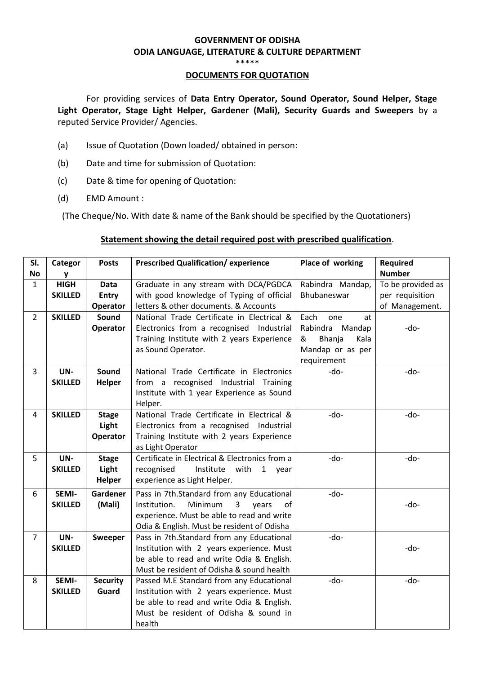# **GOVERNMENT OF ODISHA ODIA LANGUAGE, LITERATURE & CULTURE DEPARTMENT**

\*\*\*\*\*

#### **DOCUMENTS FOR QUOTATION**

For providing services of **Data Entry Operator, Sound Operator, Sound Helper, Stage Light Operator, Stage Light Helper, Gardener (Mali), Security Guards and Sweepers** by a reputed Service Provider/ Agencies.

- (a) Issue of Quotation (Down loaded/ obtained in person:
- (b) Date and time for submission of Quotation:
- (c) Date & time for opening of Quotation:
- (d) EMD Amount :

(The Cheque/No. With date & name of the Bank should be specified by the Quotationers)

#### **Statement showing the detail required post with prescribed qualification**.

| Categor        | <b>Posts</b>                                                                                                      | <b>Prescribed Qualification/ experience</b>                                                                 | Place of working                                                                                                                                                                                                                                                                                                                                                                                                                                                                                                                                                                                                                                                                                                                               | <b>Required</b>                                         |
|----------------|-------------------------------------------------------------------------------------------------------------------|-------------------------------------------------------------------------------------------------------------|------------------------------------------------------------------------------------------------------------------------------------------------------------------------------------------------------------------------------------------------------------------------------------------------------------------------------------------------------------------------------------------------------------------------------------------------------------------------------------------------------------------------------------------------------------------------------------------------------------------------------------------------------------------------------------------------------------------------------------------------|---------------------------------------------------------|
|                |                                                                                                                   |                                                                                                             |                                                                                                                                                                                                                                                                                                                                                                                                                                                                                                                                                                                                                                                                                                                                                | <b>Number</b>                                           |
|                |                                                                                                                   |                                                                                                             |                                                                                                                                                                                                                                                                                                                                                                                                                                                                                                                                                                                                                                                                                                                                                | To be provided as                                       |
|                |                                                                                                                   |                                                                                                             |                                                                                                                                                                                                                                                                                                                                                                                                                                                                                                                                                                                                                                                                                                                                                | per requisition                                         |
|                |                                                                                                                   |                                                                                                             |                                                                                                                                                                                                                                                                                                                                                                                                                                                                                                                                                                                                                                                                                                                                                | of Management.                                          |
| <b>SKILLED</b> | Sound                                                                                                             |                                                                                                             | Each<br>one<br>at                                                                                                                                                                                                                                                                                                                                                                                                                                                                                                                                                                                                                                                                                                                              |                                                         |
|                | <b>Operator</b>                                                                                                   | Electronics from a recognised Industrial                                                                    | Rabindra Mandap                                                                                                                                                                                                                                                                                                                                                                                                                                                                                                                                                                                                                                                                                                                                | -do-                                                    |
|                |                                                                                                                   | Training Institute with 2 years Experience                                                                  | &<br>Bhanja<br>Kala                                                                                                                                                                                                                                                                                                                                                                                                                                                                                                                                                                                                                                                                                                                            |                                                         |
|                |                                                                                                                   | as Sound Operator.                                                                                          | Mandap or as per                                                                                                                                                                                                                                                                                                                                                                                                                                                                                                                                                                                                                                                                                                                               |                                                         |
|                |                                                                                                                   |                                                                                                             | requirement                                                                                                                                                                                                                                                                                                                                                                                                                                                                                                                                                                                                                                                                                                                                    |                                                         |
| UN-            | <b>Sound</b>                                                                                                      | National Trade Certificate in Electronics                                                                   | -do-                                                                                                                                                                                                                                                                                                                                                                                                                                                                                                                                                                                                                                                                                                                                           | -do-                                                    |
| <b>SKILLED</b> | Helper                                                                                                            | from a recognised Industrial Training                                                                       |                                                                                                                                                                                                                                                                                                                                                                                                                                                                                                                                                                                                                                                                                                                                                |                                                         |
|                |                                                                                                                   | Institute with 1 year Experience as Sound                                                                   |                                                                                                                                                                                                                                                                                                                                                                                                                                                                                                                                                                                                                                                                                                                                                |                                                         |
|                |                                                                                                                   | Helper.                                                                                                     |                                                                                                                                                                                                                                                                                                                                                                                                                                                                                                                                                                                                                                                                                                                                                |                                                         |
| <b>SKILLED</b> | <b>Stage</b>                                                                                                      | National Trade Certificate in Electrical &                                                                  | -do-                                                                                                                                                                                                                                                                                                                                                                                                                                                                                                                                                                                                                                                                                                                                           | -do-                                                    |
|                | Light                                                                                                             | Electronics from a recognised Industrial                                                                    |                                                                                                                                                                                                                                                                                                                                                                                                                                                                                                                                                                                                                                                                                                                                                |                                                         |
|                | Operator                                                                                                          | Training Institute with 2 years Experience                                                                  |                                                                                                                                                                                                                                                                                                                                                                                                                                                                                                                                                                                                                                                                                                                                                |                                                         |
|                |                                                                                                                   | as Light Operator                                                                                           |                                                                                                                                                                                                                                                                                                                                                                                                                                                                                                                                                                                                                                                                                                                                                |                                                         |
| UN-            | <b>Stage</b>                                                                                                      | Certificate in Electrical & Electronics from a                                                              | -do-                                                                                                                                                                                                                                                                                                                                                                                                                                                                                                                                                                                                                                                                                                                                           | -do-                                                    |
| <b>SKILLED</b> | Light                                                                                                             | Institute with 1 year<br>recognised                                                                         |                                                                                                                                                                                                                                                                                                                                                                                                                                                                                                                                                                                                                                                                                                                                                |                                                         |
|                | <b>Helper</b>                                                                                                     | experience as Light Helper.                                                                                 |                                                                                                                                                                                                                                                                                                                                                                                                                                                                                                                                                                                                                                                                                                                                                |                                                         |
|                |                                                                                                                   |                                                                                                             |                                                                                                                                                                                                                                                                                                                                                                                                                                                                                                                                                                                                                                                                                                                                                |                                                         |
|                |                                                                                                                   |                                                                                                             |                                                                                                                                                                                                                                                                                                                                                                                                                                                                                                                                                                                                                                                                                                                                                | -do-                                                    |
|                |                                                                                                                   |                                                                                                             |                                                                                                                                                                                                                                                                                                                                                                                                                                                                                                                                                                                                                                                                                                                                                |                                                         |
|                |                                                                                                                   |                                                                                                             |                                                                                                                                                                                                                                                                                                                                                                                                                                                                                                                                                                                                                                                                                                                                                |                                                         |
|                |                                                                                                                   |                                                                                                             |                                                                                                                                                                                                                                                                                                                                                                                                                                                                                                                                                                                                                                                                                                                                                |                                                         |
|                |                                                                                                                   |                                                                                                             |                                                                                                                                                                                                                                                                                                                                                                                                                                                                                                                                                                                                                                                                                                                                                | -do-                                                    |
|                |                                                                                                                   |                                                                                                             |                                                                                                                                                                                                                                                                                                                                                                                                                                                                                                                                                                                                                                                                                                                                                |                                                         |
|                |                                                                                                                   |                                                                                                             |                                                                                                                                                                                                                                                                                                                                                                                                                                                                                                                                                                                                                                                                                                                                                |                                                         |
|                |                                                                                                                   |                                                                                                             |                                                                                                                                                                                                                                                                                                                                                                                                                                                                                                                                                                                                                                                                                                                                                | -do-                                                    |
|                |                                                                                                                   |                                                                                                             |                                                                                                                                                                                                                                                                                                                                                                                                                                                                                                                                                                                                                                                                                                                                                |                                                         |
|                |                                                                                                                   |                                                                                                             |                                                                                                                                                                                                                                                                                                                                                                                                                                                                                                                                                                                                                                                                                                                                                |                                                         |
|                |                                                                                                                   |                                                                                                             |                                                                                                                                                                                                                                                                                                                                                                                                                                                                                                                                                                                                                                                                                                                                                |                                                         |
|                |                                                                                                                   |                                                                                                             |                                                                                                                                                                                                                                                                                                                                                                                                                                                                                                                                                                                                                                                                                                                                                |                                                         |
|                | y<br><b>HIGH</b><br><b>SKILLED</b><br>SEMI-<br><b>SKILLED</b><br>UN-<br><b>SKILLED</b><br>SEMI-<br><b>SKILLED</b> | <b>Data</b><br><b>Entry</b><br>Operator<br>Gardener<br>(Mali)<br><b>Sweeper</b><br><b>Security</b><br>Guard | Graduate in any stream with DCA/PGDCA<br>with good knowledge of Typing of official<br>letters & other documents. & Accounts<br>National Trade Certificate in Electrical &<br>Pass in 7th.Standard from any Educational<br>Minimum<br>3<br>Institution.<br>of<br>years<br>experience. Must be able to read and write<br>Odia & English. Must be resident of Odisha<br>Pass in 7th.Standard from any Educational<br>Institution with 2 years experience. Must<br>be able to read and write Odia & English.<br>Must be resident of Odisha & sound health<br>Passed M.E Standard from any Educational<br>Institution with 2 years experience. Must<br>be able to read and write Odia & English.<br>Must be resident of Odisha & sound in<br>health | Rabindra Mandap,<br>Bhubaneswar<br>-do-<br>-do-<br>-do- |